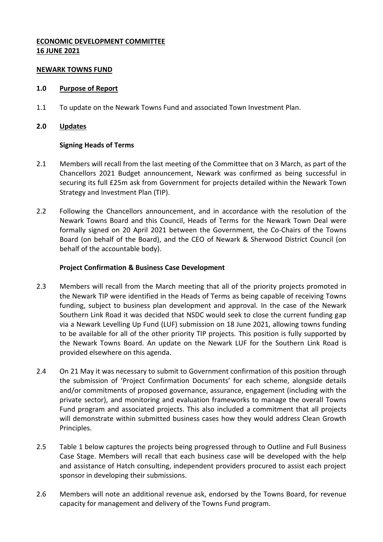# **ECONOMIC DEVELOPMENT COMMITTEE 16 JUNE 2021**

### **NEWARK TOWNS FUND**

#### **1.0 Purpose of Report**

1.1 To update on the Newark Towns Fund and associated Town Investment Plan.

### **2.0 Updates**

#### **Signing Heads of Terms**

- 2.1 Members will recall from the last meeting of the Committee that on 3 March, as part of the Chancellors 2021 Budget announcement, Newark was confirmed as being successful in securing its full £25m ask from Government for projects detailed within the Newark Town Strategy and Investment Plan (TIP).
- 2.2 Following the Chancellors announcement, and in accordance with the resolution of the Newark Towns Board and this Council, Heads of Terms for the Newark Town Deal were formally signed on 20 April 2021 between the Government, the Co-Chairs of the Towns Board (on behalf of the Board), and the CEO of Newark & Sherwood District Council (on behalf of the accountable body).

#### **Project Confirmation & Business Case Development**

- 2.3 Members will recall from the March meeting that all of the priority projects promoted in the Newark TIP were identified in the Heads of Terms as being capable of receiving Towns funding, subject to business plan development and approval. In the case of the Newark Southern Link Road it was decided that NSDC would seek to close the current funding gap via a Newark Levelling Up Fund (LUF) submission on 18 June 2021, allowing towns funding to be available for all of the other priority TIP projects. This position is fully supported by the Newark Towns Board. An update on the Newark LUF for the Southern Link Road is provided elsewhere on this agenda.
- 2.4 On 21 May it was necessary to submit to Government confirmation of this position through the submission of 'Project Confirmation Documents' for each scheme, alongside details and/or commitments of proposed governance, assurance, engagement (including with the private sector), and monitoring and evaluation frameworks to manage the overall Towns Fund program and associated projects. This also included a commitment that all projects will demonstrate within submitted business cases how they would address Clean Growth Principles.
- 2.5 Table 1 below captures the projects being progressed through to Outline and Full Business Case Stage. Members will recall that each business case will be developed with the help and assistance of Hatch consulting, independent providers procured to assist each project sponsor in developing their submissions.
- 2.6 Members will note an additional revenue ask, endorsed by the Towns Board, for revenue capacity for management and delivery of the Towns Fund program.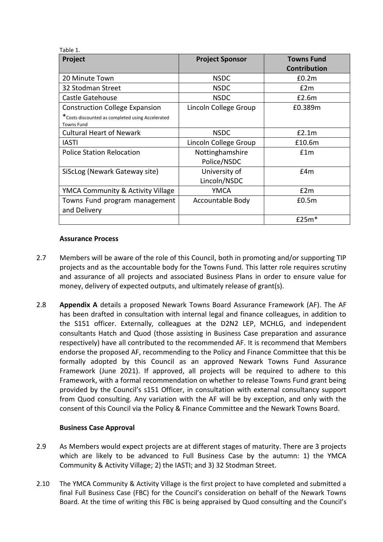| Table 1.                                                              |                                |                                          |
|-----------------------------------------------------------------------|--------------------------------|------------------------------------------|
| Project                                                               | <b>Project Sponsor</b>         | <b>Towns Fund</b><br><b>Contribution</b> |
| 20 Minute Town                                                        | <b>NSDC</b>                    | E0.2m                                    |
| 32 Stodman Street                                                     | <b>NSDC</b>                    | E2m                                      |
| Castle Gatehouse                                                      | <b>NSDC</b>                    | £2.6m                                    |
| <b>Construction College Expansion</b>                                 | Lincoln College Group          | £0.389m                                  |
| *Costs discounted as completed using Accelerated<br><b>Towns Fund</b> |                                |                                          |
| <b>Cultural Heart of Newark</b>                                       | <b>NSDC</b>                    | E2.1m                                    |
| <b>IASTI</b>                                                          | Lincoln College Group          | £10.6m                                   |
| <b>Police Station Relocation</b>                                      | Nottinghamshire<br>Police/NSDC | f1m                                      |
| SiScLog (Newark Gateway site)                                         | University of<br>Lincoln/NSDC  | f4m                                      |
| YMCA Community & Activity Village                                     | <b>YMCA</b>                    | £2m                                      |
| Towns Fund program management<br>and Delivery                         | Accountable Body               | £0.5m                                    |
|                                                                       |                                | $£25m*$                                  |

## **Assurance Process**

- 2.7 Members will be aware of the role of this Council, both in promoting and/or supporting TIP projects and as the accountable body for the Towns Fund. This latter role requires scrutiny and assurance of all projects and associated Business Plans in order to ensure value for money, delivery of expected outputs, and ultimately release of grant(s).
- 2.8 **Appendix A** details a proposed Newark Towns Board Assurance Framework (AF). The AF has been drafted in consultation with internal legal and finance colleagues, in addition to the S151 officer. Externally, colleagues at the D2N2 LEP, MCHLG, and independent consultants Hatch and Quod (those assisting in Business Case preparation and assurance respectively) have all contributed to the recommended AF. It is recommend that Members endorse the proposed AF, recommending to the Policy and Finance Committee that this be formally adopted by this Council as an approved Newark Towns Fund Assurance Framework (June 2021). If approved, all projects will be required to adhere to this Framework, with a formal recommendation on whether to release Towns Fund grant being provided by the Council's s151 Officer, in consultation with external consultancy support from Quod consulting. Any variation with the AF will be by exception, and only with the consent of this Council via the Policy & Finance Committee and the Newark Towns Board.

# **Business Case Approval**

- 2.9 As Members would expect projects are at different stages of maturity. There are 3 projects which are likely to be advanced to Full Business Case by the autumn: 1) the YMCA Community & Activity Village; 2) the IASTI; and 3) 32 Stodman Street.
- 2.10 The YMCA Community & Activity Village is the first project to have completed and submitted a final Full Business Case (FBC) for the Council's consideration on behalf of the Newark Towns Board. At the time of writing this FBC is being appraised by Quod consulting and the Council's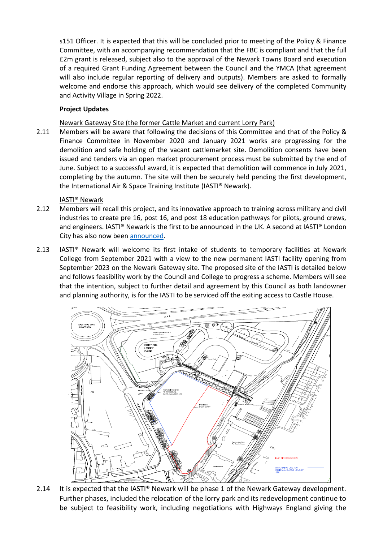s151 Officer. It is expected that this will be concluded prior to meeting of the Policy & Finance Committee, with an accompanying recommendation that the FBC is compliant and that the full £2m grant is released, subject also to the approval of the Newark Towns Board and execution of a required Grant Funding Agreement between the Council and the YMCA (that agreement will also include regular reporting of delivery and outputs). Members are asked to formally welcome and endorse this approach, which would see delivery of the completed Community and Activity Village in Spring 2022.

## **Project Updates**

Newark Gateway Site (the former Cattle Market and current Lorry Park)

2.11 Members will be aware that following the decisions of this Committee and that of the Policy & Finance Committee in November 2020 and January 2021 works are progressing for the demolition and safe holding of the vacant cattlemarket site. Demolition consents have been issued and tenders via an open market procurement process must be submitted by the end of June. Subject to a successful award, it is expected that demolition will commence in July 2021, completing by the autumn. The site will then be securely held pending the first development, the International Air & Space Training Institute (IASTI® Newark).

## IASTI® Newark

- 2.12 Members will recall this project, and its innovative approach to training across military and civil industries to create pre 16, post 16, and post 18 education pathways for pilots, ground crews, and engineers. IASTI® Newark is the first to be announced in the UK. A second at IASTI® London City has also now been [announced.](http://www.iasti.co.uk/uks-latest-international-air-space-institute-to-open-at-london-city-airport)
- 2.13 IASTI® Newark will welcome its first intake of students to temporary facilities at Newark College from September 2021 with a view to the new permanent IASTI facility opening from September 2023 on the Newark Gateway site. The proposed site of the IASTI is detailed below and follows feasibility work by the Council and College to progress a scheme. Members will see that the intention, subject to further detail and agreement by this Council as both landowner and planning authority, is for the IASTI to be serviced off the exiting access to Castle House.



2.14 It is expected that the IASTI® Newark will be phase 1 of the Newark Gateway development. Further phases, included the relocation of the lorry park and its redevelopment continue to be subject to feasibility work, including negotiations with Highways England giving the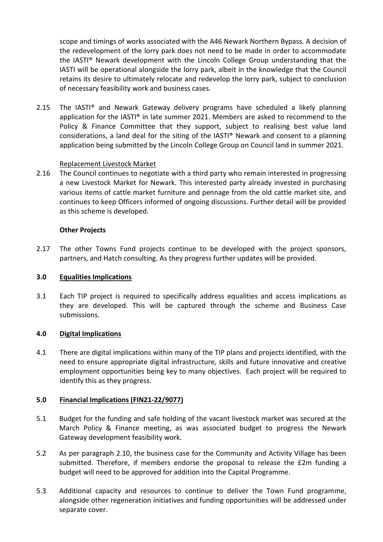scope and timings of works associated with the A46 Newark Northern Bypass. A decision of the redevelopment of the lorry park does not need to be made in order to accommodate the IASTI® Newark development with the Lincoln College Group understanding that the IASTI will be operational alongside the lorry park, albeit in the knowledge that the Council retains its desire to ultimately relocate and redevelop the lorry park, subject to conclusion of necessary feasibility work and business cases.

2.15 The IASTI® and Newark Gateway delivery programs have scheduled a likely planning application for the IASTI® in late summer 2021. Members are asked to recommend to the Policy & Finance Committee that they support, subject to realising best value land considerations, a land deal for the siting of the IASTI® Newark and consent to a planning application being submitted by the Lincoln College Group on Council land in summer 2021.

## Replacement Livestock Market

2.16 The Council continues to negotiate with a third party who remain interested in progressing a new Livestock Market for Newark. This interested party already invested in purchasing various items of cattle market furniture and pennage from the old cattle market site, and continues to keep Officers informed of ongoing discussions. Further detail will be provided as this scheme is developed.

## **Other Projects**

2.17 The other Towns Fund projects continue to be developed with the project sponsors, partners, and Hatch consulting. As they progress further updates will be provided.

### **3.0 Equalities Implications**

3.1 Each TIP project is required to specifically address equalities and access implications as they are developed. This will be captured through the scheme and Business Case submissions.

### **4.0 Digital Implications**

4.1 There are digital implications within many of the TIP plans and projects identified, with the need to ensure appropriate digital infrastructure, skills and future innovative and creative employment opportunities being key to many objectives. Each project will be required to identify this as they progress.

# **5.0 Financial Implications (FIN21-22/9077)**

- 5.1 Budget for the funding and safe holding of the vacant livestock market was secured at the March Policy & Finance meeting, as was associated budget to progress the Newark Gateway development feasibility work.
- 5.2 As per paragraph 2.10, the business case for the Community and Activity Village has been submitted. Therefore, if members endorse the proposal to release the £2m funding a budget will need to be approved for addition into the Capital Programme.
- 5.3 Additional capacity and resources to continue to deliver the Town Fund programme, alongside other regeneration initiatives and funding opportunities will be addressed under separate cover.